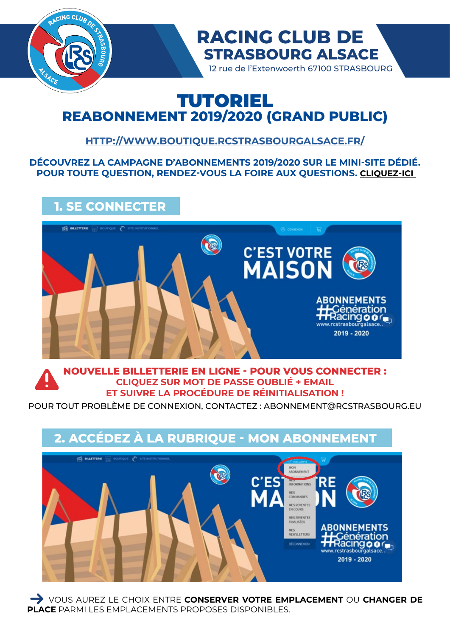

# TUTORIEL **REABONNEMENT 2019/2020 (GRAND PUBLIC)**

### **<HTTP://WWW.BOUTIQUE.RCSTRASBOURGALSACE.FR/>**

### **DÉCOUVREZ LA CAMPAGNE D'ABONNEMENTS 2019/2020 SUR LE MINI-SITE DÉDIÉ. POUR TOUTE QUESTION, RENDEZ-VOUS LA FOIRE AUX QUESTIONS. [CLIQUEZ-ICI](http://www.rcstrasbourgalsace.fr/cestvotremaison/)**

# **1. SE CONNECTER**



### **NOUVELLE BILLETTERIE EN LIGNE - POUR VOUS CONNECTER : CLIQUEZ SUR MOT DE PASSE OUBLIÉ + EMAIL ET SUIVRE LA PROCÉDURE DE RÉINITIALISATION !**

POUR TOUT PROBLÈME DE CONNEXION, CONTACTEZ : ABONNEMENT@RCSTRASBOURG.EU

## **2. ACCÉDEZ À LA RUBRIQUE - MON ABONNEMENT ES BILLETTERE** C'FS MES REVENTES MES REVENTES **ABONNEMENTS** MES<br>NEWSLETTERS Génération Racing **o** or<sub>o</sub> www.rcstrasbourgalsace. 2019 - 2020

 VOUS AUREZ LE CHOIX ENTRE **CONSERVER VOTRE EMPLACEMENT** OU **CHANGER DE PLACE** PARMI LES EMPLACEMENTS PROPOSES DISPONIBLES.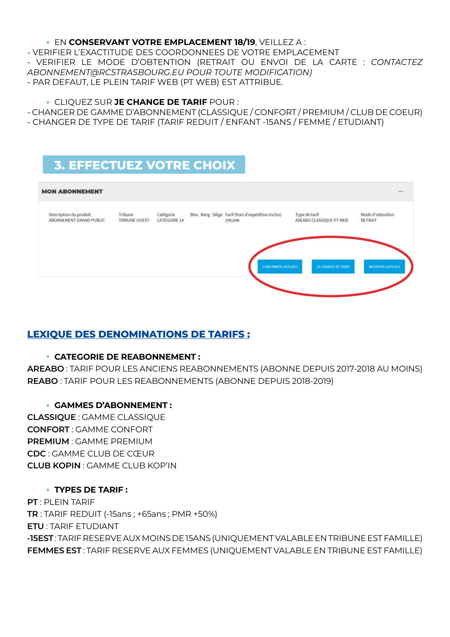#### EN **CONSERVANT VOTRE EMPLACEMENT 18/19**, VEILLEZ A :

- VERIFIER L'EXACTITUDE DES COORDONNEES DE VOTRE EMPLACEMENT - VERIFIER LE MODE D'OBTENTION (RETRAIT OU ENVOI DE LA CARTE : *CONTACTEZ ABONNEMENT@RCSTRASBOURG.EU POUR TOUTE MODIFICATION)*  - PAR DEFAUT, LE PLEIN TARIF WEB (PT WEB) EST ATTRIBUE.

- CLIQUEZ SUR **JE CHANGE DE TARIF** POUR :
- CHANGER DE GAMME D'ABONNEMENT (CLASSIQUE / CONFORT / PREMIUM / CLUB DE COEUR)
- CHANGER DE TYPE DE TARIF (TARIF REDUIT / ENFANT -15ANS / FEMME / ETUDIANT)

## **3. EFFECTUEZ VOTRE CHOIX**



### **LEXIQUE DES DENOMINATIONS DE TARIFS :**

### **CATEGORIE DE REABONNEMENT :**

**AREABO** : TARIF POUR LES ANCIENS REABONNEMENTS (ABONNE DEPUIS 2017-2018 AU MOINS) **REABO** : TARIF POUR LES REABONNEMENTS (ABONNE DEPUIS 2018-2019)

### **GAMMES D'ABONNEMENT :**

**CLASSIQUE** : GAMME CLASSIQUE **CONFORT** : GAMME CONFORT **PREMIUM** : GAMME PREMIUM **CDC** : GAMME CLUB DE CŒUR **CLUB KOPIN** : GAMME CLUB KOP'IN

### **TYPES DE TARIF :**

**PT** : PLEIN TARIF **TR** : TARIF REDUIT (-15ans ; +65ans ; PMR +50%) **ETU** : TARIF ETUDIANT **-15EST** : TARIF RESERVE AUX MOINS DE 15ANS (UNIQUEMENT VALABLE EN TRIBUNE EST FAMILLE) **FEMMES EST** : TARIF RESERVE AUX FEMMES (UNIQUEMENT VALABLE EN TRIBUNE EST FAMILLE)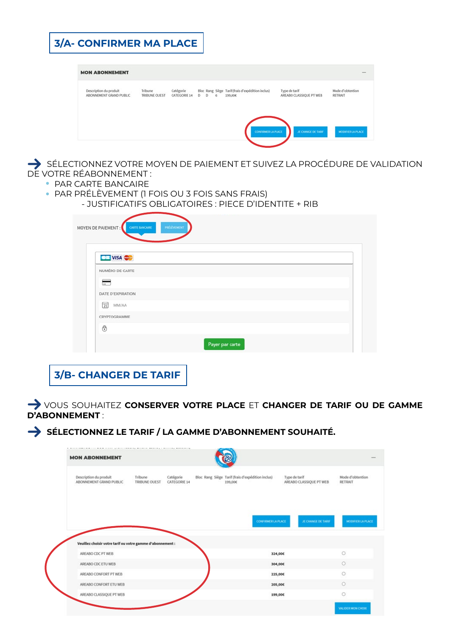| <b>3/A- CONFIRMER MA PLACE</b>                    |                          |                           |             |                                                              |                                          |                             |
|---------------------------------------------------|--------------------------|---------------------------|-------------|--------------------------------------------------------------|------------------------------------------|-----------------------------|
| <b>MON ABONNEMENT</b>                             |                          |                           |             |                                                              |                                          |                             |
| Description du produit<br>ABONNEMENT GRAND PUBLIC | Tribune<br>TRIBUNE OUEST | Catégorie<br>CATEGORIE 14 | $D$ $D$ $6$ | Bloc Rang Siège Tarif (frais d'expédition inclus)<br>199,00€ | Type de tarif<br>AREABO CLASSIQUE PT WEB | Mode d'obtention<br>RETRAIT |
|                                                   |                          |                           |             | <b>CONFIRMER LA PLACE</b>                                    | JE CHANGE DE TARIF                       | <b>MODIFIER LA PLACE</b>    |

SÉLECTIONNEZ VOTRE MOYEN DE PAIEMENT ET SUIVEZ LA PROCÉDURE DE VALIDATION DE VOTRE RÉABONNEMENT :

- **PAR CARTE BANCAIRE**
- PAR PRÉLÈVEMENT (1 FOIS OU 3 FOIS SANS FRAIS)
	- JUSTIFICATIFS OBLIGATOIRES : PIECE D'IDENTITE + RIB

| <b>CIE VISA</b>          |  |  |
|--------------------------|--|--|
| NUMÉRO DE CARTE          |  |  |
| $\overline{\phantom{0}}$ |  |  |
| DATE D'EXPIRATION        |  |  |
| $\boxed{21}$<br>MM/AA    |  |  |
| CRYPTOGRAMME             |  |  |

**3/B- CHANGER DE TARIF**

 VOUS SOUHAITEZ **CONSERVER VOTRE PLACE** ET **CHANGER DE TARIF OU DE GAMME D'ABONNEMENT** :

 $\rightarrow$  SÉLECTIONNEZ LE TARIF / LA GAMME D'ABONNEMENT SOUHAITÉ.

| Description du produit<br>ABONNEMENT GRAND PUBLIC          | Tribune<br>TRIBUNE OUEST | Catégorie<br>CATEGORIE 14 | Bloc Rang Siège Tarif (frais d'expédition inclus)<br>199,00€ | Type de tarif<br>AREABO CLASSIQUE PT WEB | Mode d'obtention<br>RETRAIT |
|------------------------------------------------------------|--------------------------|---------------------------|--------------------------------------------------------------|------------------------------------------|-----------------------------|
|                                                            |                          |                           |                                                              |                                          |                             |
|                                                            |                          |                           |                                                              |                                          |                             |
|                                                            |                          |                           | CONFIRMER LA PLACE                                           | JE CHANGE DE TARIF                       | MODIFIER LA PLACE           |
|                                                            |                          |                           |                                                              |                                          |                             |
|                                                            |                          |                           |                                                              |                                          |                             |
| Veuillez choisir votre tarif ou votre gamme d'abonnement : |                          |                           |                                                              |                                          |                             |
| AREABO CDC PT WEB                                          |                          |                           |                                                              | 324,00€                                  | $\circ$                     |
| AREABO CDC ETU WEB                                         |                          |                           |                                                              | 304,00€                                  | $\circ$                     |
| AREABO CONFORT PT WEB                                      |                          |                           |                                                              | 225,00€                                  | $\circ$                     |
| AREABO CONFORT ETU WEB                                     |                          |                           |                                                              | 205,00€                                  | $\circ$                     |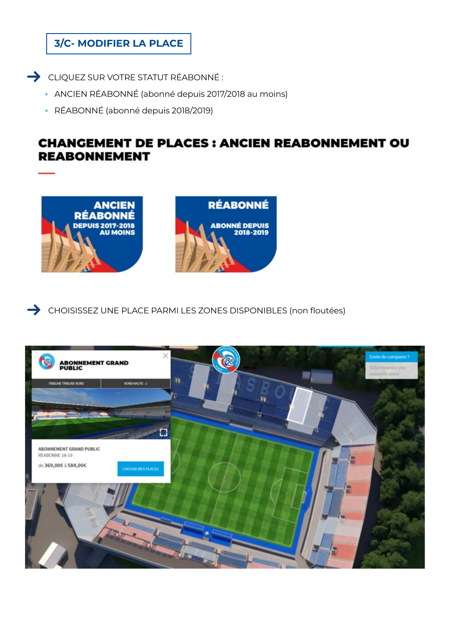### **3/C- MODIFIER LA PLACE**

 $\rightarrow$  CLIQUEZ SUR VOTRE STATUT RÉABONNÉ :

- ANCIEN RÉABONNÉ (abonné depuis 2017/2018 au moins)
- RÉABONNÉ (abonné depuis 2018/2019)

## **CHANGEMENT DE PLACES : ANCIEN REABONNEMENT OU REABONNEMENT**



CHOISISSEZ UNE PLACE PARMI LES ZONES DISPONIBLES (non floutées)